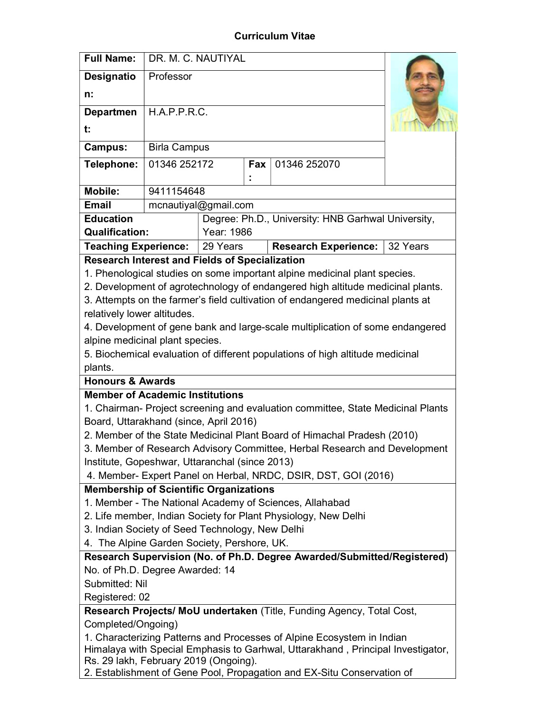## Curriculum Vitae

| <b>Full Name:</b>                                                                                                                                           | DR. M. C. NAUTIYAL                                  |                                                    |  |  |  |  |
|-------------------------------------------------------------------------------------------------------------------------------------------------------------|-----------------------------------------------------|----------------------------------------------------|--|--|--|--|
| <b>Designatio</b>                                                                                                                                           | Professor                                           |                                                    |  |  |  |  |
| n:                                                                                                                                                          |                                                     |                                                    |  |  |  |  |
| <b>Departmen</b>                                                                                                                                            | H.A.P.P.R.C.                                        |                                                    |  |  |  |  |
| t:                                                                                                                                                          |                                                     |                                                    |  |  |  |  |
| <b>Campus:</b>                                                                                                                                              | <b>Birla Campus</b>                                 |                                                    |  |  |  |  |
| Telephone:                                                                                                                                                  | 01346 252172<br>01346 252070<br>Fax $ $             |                                                    |  |  |  |  |
|                                                                                                                                                             |                                                     |                                                    |  |  |  |  |
| <b>Mobile:</b>                                                                                                                                              | 9411154648                                          |                                                    |  |  |  |  |
| <b>Email</b>                                                                                                                                                | mcnautiyal@gmail.com                                |                                                    |  |  |  |  |
| <b>Education</b>                                                                                                                                            |                                                     | Degree: Ph.D., University: HNB Garhwal University, |  |  |  |  |
| <b>Qualification:</b>                                                                                                                                       |                                                     | Year: 1986                                         |  |  |  |  |
| <b>Teaching Experience:</b>                                                                                                                                 | 29 Years<br><b>Research Experience:</b><br>32 Years |                                                    |  |  |  |  |
| <b>Research Interest and Fields of Specialization</b>                                                                                                       |                                                     |                                                    |  |  |  |  |
| 1. Phenological studies on some important alpine medicinal plant species.<br>2. Development of agrotechnology of endangered high altitude medicinal plants. |                                                     |                                                    |  |  |  |  |
| 3. Attempts on the farmer's field cultivation of endangered medicinal plants at                                                                             |                                                     |                                                    |  |  |  |  |
| relatively lower altitudes.                                                                                                                                 |                                                     |                                                    |  |  |  |  |
| 4. Development of gene bank and large-scale multiplication of some endangered                                                                               |                                                     |                                                    |  |  |  |  |
| alpine medicinal plant species.                                                                                                                             |                                                     |                                                    |  |  |  |  |
| 5. Biochemical evaluation of different populations of high altitude medicinal                                                                               |                                                     |                                                    |  |  |  |  |
| plants.                                                                                                                                                     |                                                     |                                                    |  |  |  |  |
| <b>Honours &amp; Awards</b>                                                                                                                                 |                                                     |                                                    |  |  |  |  |
| <b>Member of Academic Institutions</b>                                                                                                                      |                                                     |                                                    |  |  |  |  |
| 1. Chairman- Project screening and evaluation committee, State Medicinal Plants                                                                             |                                                     |                                                    |  |  |  |  |
| Board, Uttarakhand (since, April 2016)                                                                                                                      |                                                     |                                                    |  |  |  |  |
| 2. Member of the State Medicinal Plant Board of Himachal Pradesh (2010)                                                                                     |                                                     |                                                    |  |  |  |  |
| 3. Member of Research Advisory Committee, Herbal Research and Development                                                                                   |                                                     |                                                    |  |  |  |  |
| Institute, Gopeshwar, Uttaranchal (since 2013)                                                                                                              |                                                     |                                                    |  |  |  |  |
| 4. Member- Expert Panel on Herbal, NRDC, DSIR, DST, GOI (2016)                                                                                              |                                                     |                                                    |  |  |  |  |
| <b>Membership of Scientific Organizations</b>                                                                                                               |                                                     |                                                    |  |  |  |  |
| 1. Member - The National Academy of Sciences, Allahabad                                                                                                     |                                                     |                                                    |  |  |  |  |
| 2. Life member, Indian Society for Plant Physiology, New Delhi<br>3. Indian Society of Seed Technology, New Delhi                                           |                                                     |                                                    |  |  |  |  |
| 4. The Alpine Garden Society, Pershore, UK.                                                                                                                 |                                                     |                                                    |  |  |  |  |
| Research Supervision (No. of Ph.D. Degree Awarded/Submitted/Registered)                                                                                     |                                                     |                                                    |  |  |  |  |
| No. of Ph.D. Degree Awarded: 14                                                                                                                             |                                                     |                                                    |  |  |  |  |
| Submitted: Nil                                                                                                                                              |                                                     |                                                    |  |  |  |  |
| Registered: 02                                                                                                                                              |                                                     |                                                    |  |  |  |  |
| Research Projects/ MoU undertaken (Title, Funding Agency, Total Cost,                                                                                       |                                                     |                                                    |  |  |  |  |
| Completed/Ongoing)                                                                                                                                          |                                                     |                                                    |  |  |  |  |
| 1. Characterizing Patterns and Processes of Alpine Ecosystem in Indian                                                                                      |                                                     |                                                    |  |  |  |  |
| Himalaya with Special Emphasis to Garhwal, Uttarakhand, Principal Investigator,                                                                             |                                                     |                                                    |  |  |  |  |
| Rs. 29 lakh, February 2019 (Ongoing).                                                                                                                       |                                                     |                                                    |  |  |  |  |
| 2. Establishment of Gene Pool, Propagation and EX-Situ Conservation of                                                                                      |                                                     |                                                    |  |  |  |  |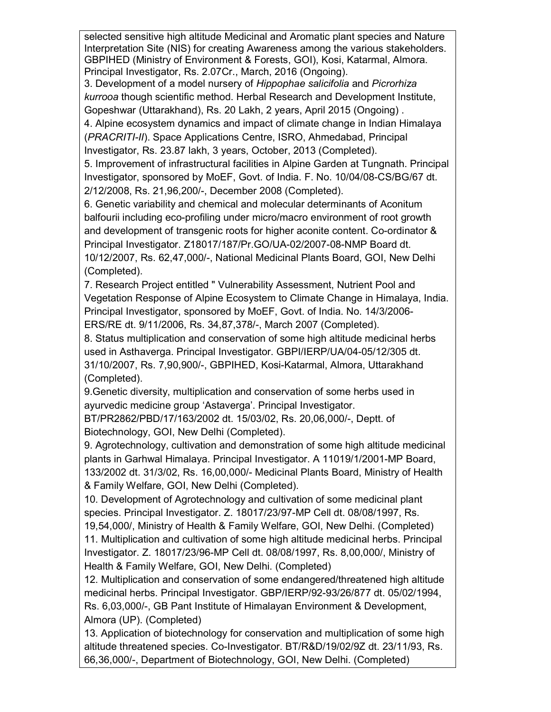selected sensitive high altitude Medicinal and Aromatic plant species and Nature Interpretation Site (NIS) for creating Awareness among the various stakeholders. GBPIHED (Ministry of Environment & Forests, GOI), Kosi, Katarmal, Almora. Principal Investigator, Rs. 2.07Cr., March, 2016 (Ongoing).

3. Development of a model nursery of Hippophae salicifolia and Picrorhiza kurrooa though scientific method. Herbal Research and Development Institute, Gopeshwar (Uttarakhand), Rs. 20 Lakh, 2 years, April 2015 (Ongoing) .

4. Alpine ecosystem dynamics and impact of climate change in Indian Himalaya (PRACRITI-II). Space Applications Centre, ISRO, Ahmedabad, Principal Investigator, Rs. 23.87 lakh, 3 years, October, 2013 (Completed).

5. Improvement of infrastructural facilities in Alpine Garden at Tungnath. Principal Investigator, sponsored by MoEF, Govt. of India. F. No. 10/04/08-CS/BG/67 dt. 2/12/2008, Rs. 21,96,200/-, December 2008 (Completed).

6. Genetic variability and chemical and molecular determinants of Aconitum balfourii including eco-profiling under micro/macro environment of root growth and development of transgenic roots for higher aconite content. Co-ordinator & Principal Investigator. Z18017/187/Pr.GO/UA-02/2007-08-NMP Board dt. 10/12/2007, Rs. 62,47,000/-, National Medicinal Plants Board, GOI, New Delhi (Completed).

7. Research Project entitled " Vulnerability Assessment, Nutrient Pool and Vegetation Response of Alpine Ecosystem to Climate Change in Himalaya, India. Principal Investigator, sponsored by MoEF, Govt. of India. No. 14/3/2006- ERS/RE dt. 9/11/2006, Rs. 34,87,378/-, March 2007 (Completed).

8. Status multiplication and conservation of some high altitude medicinal herbs used in Asthaverga. Principal Investigator. GBPI/IERP/UA/04-05/12/305 dt. 31/10/2007, Rs. 7,90,900/-, GBPIHED, Kosi-Katarmal, Almora, Uttarakhand (Completed).

9.Genetic diversity, multiplication and conservation of some herbs used in ayurvedic medicine group 'Astaverga'. Principal Investigator.

BT/PR2862/PBD/17/163/2002 dt. 15/03/02, Rs. 20,06,000/-, Deptt. of Biotechnology, GOI, New Delhi (Completed).

9. Agrotechnology, cultivation and demonstration of some high altitude medicinal plants in Garhwal Himalaya. Principal Investigator. A 11019/1/2001-MP Board, 133/2002 dt. 31/3/02, Rs. 16,00,000/- Medicinal Plants Board, Ministry of Health & Family Welfare, GOI, New Delhi (Completed).

10. Development of Agrotechnology and cultivation of some medicinal plant species. Principal Investigator. Z. 18017/23/97-MP Cell dt. 08/08/1997, Rs.

19,54,000/, Ministry of Health & Family Welfare, GOI, New Delhi. (Completed) 11. Multiplication and cultivation of some high altitude medicinal herbs. Principal Investigator. Z. 18017/23/96-MP Cell dt. 08/08/1997, Rs. 8,00,000/, Ministry of Health & Family Welfare, GOI, New Delhi. (Completed)

12. Multiplication and conservation of some endangered/threatened high altitude medicinal herbs. Principal Investigator. GBP/IERP/92-93/26/877 dt. 05/02/1994, Rs. 6,03,000/-, GB Pant Institute of Himalayan Environment & Development, Almora (UP). (Completed)

13. Application of biotechnology for conservation and multiplication of some high altitude threatened species. Co-Investigator. BT/R&D/19/02/9Z dt. 23/11/93, Rs. 66,36,000/-, Department of Biotechnology, GOI, New Delhi. (Completed)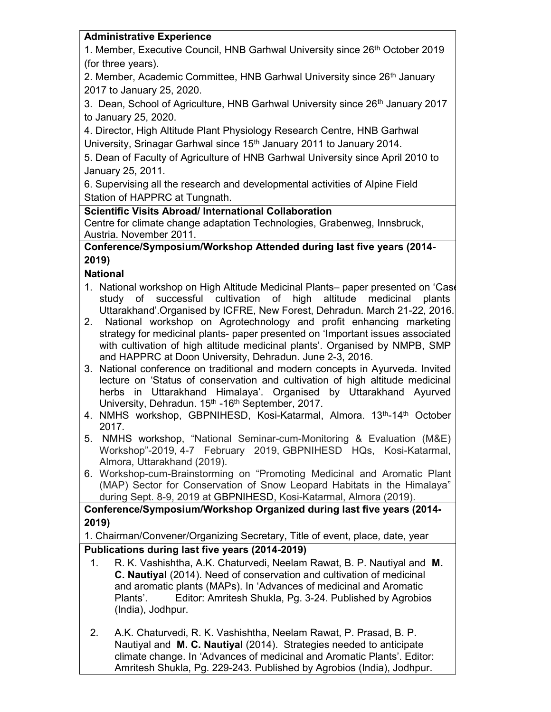#### Administrative Experience

1. Member, Executive Council, HNB Garhwal University since 26<sup>th</sup> October 2019 (for three years).

2. Member, Academic Committee, HNB Garhwal University since 26<sup>th</sup> January 2017 to January 25, 2020.

3. Dean, School of Agriculture, HNB Garhwal University since 26<sup>th</sup> January 2017 to January 25, 2020.

4. Director, High Altitude Plant Physiology Research Centre, HNB Garhwal University, Srinagar Garhwal since 15<sup>th</sup> January 2011 to January 2014.

5. Dean of Faculty of Agriculture of HNB Garhwal University since April 2010 to January 25, 2011.

6. Supervising all the research and developmental activities of Alpine Field Station of HAPPRC at Tungnath.

# Scientific Visits Abroad/ International Collaboration

Centre for climate change adaptation Technologies, Grabenweg, Innsbruck, Austria. November 2011.

### Conference/Symposium/Workshop Attended during last five years (2014- 2019)

# **National**

- 1. National workshop on High Altitude Medicinal Plants– paper presented on 'Case study of successful cultivation of high altitude medicinal plants Uttarakhand'.Organised by ICFRE, New Forest, Dehradun. March 21-22, 2016.
- 2. National workshop on Agrotechnology and profit enhancing marketing strategy for medicinal plants- paper presented on 'Important issues associated with cultivation of high altitude medicinal plants'. Organised by NMPB, SMP and HAPPRC at Doon University, Dehradun. June 2-3, 2016.
- 3. National conference on traditional and modern concepts in Ayurveda. Invited lecture on 'Status of conservation and cultivation of high altitude medicinal herbs in Uttarakhand Himalaya'. Organised by Uttarakhand Ayurved University, Dehradun. 15<sup>th</sup> -16<sup>th</sup> September, 2017.
- 4. NMHS workshop, GBPNIHESD, Kosi-Katarmal, Almora. 13<sup>th</sup>-14<sup>th</sup> October 2017.
- 5. NMHS workshop, "National Seminar-cum-Monitoring & Evaluation (M&E) Workshop"-2019, 4-7 February 2019, GBPNIHESD HQs, Kosi-Katarmal, Almora, Uttarakhand (2019).
- 6. Workshop-cum-Brainstorming on "Promoting Medicinal and Aromatic Plant (MAP) Sector for Conservation of Snow Leopard Habitats in the Himalaya" during Sept. 8-9, 2019 at GBPNIHESD, Kosi-Katarmal, Almora (2019).

Conference/Symposium/Workshop Organized during last five years (2014- 2019)

1. Chairman/Convener/Organizing Secretary, Title of event, place, date, year Publications during last five years (2014-2019)

- 1. R. K. Vashishtha, A.K. Chaturvedi, Neelam Rawat, B. P. Nautiyal and M. C. Nautiyal (2014). Need of conservation and cultivation of medicinal and aromatic plants (MAPs). In 'Advances of medicinal and Aromatic Plants'. Editor: Amritesh Shukla, Pg. 3-24. Published by Agrobios (India), Jodhpur.
- 2. A.K. Chaturvedi, R. K. Vashishtha, Neelam Rawat, P. Prasad, B. P. Nautiyal and M. C. Nautiyal (2014). Strategies needed to anticipate climate change. In 'Advances of medicinal and Aromatic Plants'. Editor: Amritesh Shukla, Pg. 229-243. Published by Agrobios (India), Jodhpur.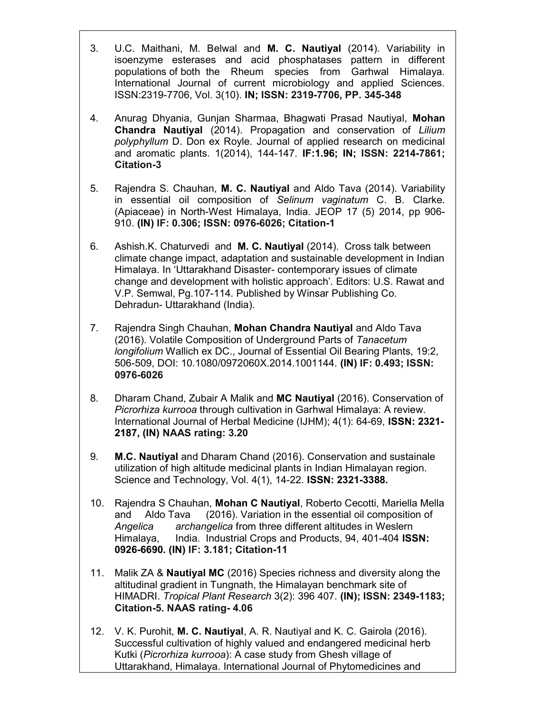- 3. U.C. Maithani, M. Belwal and M. C. Nautiyal (2014). Variability in isoenzyme esterases and acid phosphatases pattern in different populations of both the Rheum species from Garhwal Himalaya. International Journal of current microbiology and applied Sciences. ISSN:2319-7706, Vol. 3(10). IN; ISSN: 2319-7706, PP. 345-348
- 4. Anurag Dhyania, Gunjan Sharmaa, Bhagwati Prasad Nautiyal, Mohan Chandra Nautiyal (2014). Propagation and conservation of Lilium polyphyllum D. Don ex Royle. Journal of applied research on medicinal and aromatic plants. 1(2014), 144-147. IF:1.96; IN; ISSN: 2214-7861; Citation-3
- 5. Rajendra S. Chauhan, M. C. Nautiyal and Aldo Tava (2014). Variability in essential oil composition of Selinum vaginatum C. B. Clarke. (Apiaceae) in North-West Himalaya, India. JEOP 17 (5) 2014, pp 906- 910. (IN) IF: 0.306; ISSN: 0976-6026; Citation-1
- 6. Ashish.K. Chaturvedi and M. C. Nautiyal (2014). Cross talk between climate change impact, adaptation and sustainable development in Indian Himalaya. In 'Uttarakhand Disaster- contemporary issues of climate change and development with holistic approach'. Editors: U.S. Rawat and V.P. Semwal, Pg.107-114. Published by Winsar Publishing Co. Dehradun- Uttarakhand (India).
- 7. Rajendra Singh Chauhan, Mohan Chandra Nautiyal and Aldo Tava (2016). Volatile Composition of Underground Parts of Tanacetum longifolium Wallich ex DC., Journal of Essential Oil Bearing Plants, 19:2, 506-509, DOI: 10.1080/0972060X.2014.1001144. (IN) IF: 0.493; ISSN: 0976-6026
- 8. Dharam Chand, Zubair A Malik and MC Nautiyal (2016). Conservation of Picrorhiza kurrooa through cultivation in Garhwal Himalaya: A review. International Journal of Herbal Medicine (IJHM); 4(1): 64-69, ISSN: 2321- 2187, (IN) NAAS rating: 3.20
- 9. M.C. Nautiyal and Dharam Chand (2016). Conservation and sustainale utilization of high altitude medicinal plants in Indian Himalayan region. Science and Technology, Vol. 4(1), 14-22. ISSN: 2321-3388.
- 10. Rajendra S Chauhan, Mohan C Nautiyal, Roberto Cecotti, Mariella Mella and Aldo Tava (2016). Variation in the essential oil composition of Angelica archangelica from three different altitudes in Weslern Himalaya, India. Industrial Crops and Products, 94, 401-404 ISSN: 0926-6690. (IN) IF: 3.181; Citation-11
- 11. Malik ZA & Nautiyal MC (2016) Species richness and diversity along the altitudinal gradient in Tungnath, the Himalayan benchmark site of HIMADRI. Tropical Plant Research 3(2): 396 407. (IN); ISSN: 2349-1183; Citation-5. NAAS rating- 4.06
- 12. V. K. Purohit, M. C. Nautiyal, A. R. Nautiyal and K. C. Gairola (2016). Successful cultivation of highly valued and endangered medicinal herb Kutki (Picrorhiza kurrooa): A case study from Ghesh village of Uttarakhand, Himalaya. International Journal of Phytomedicines and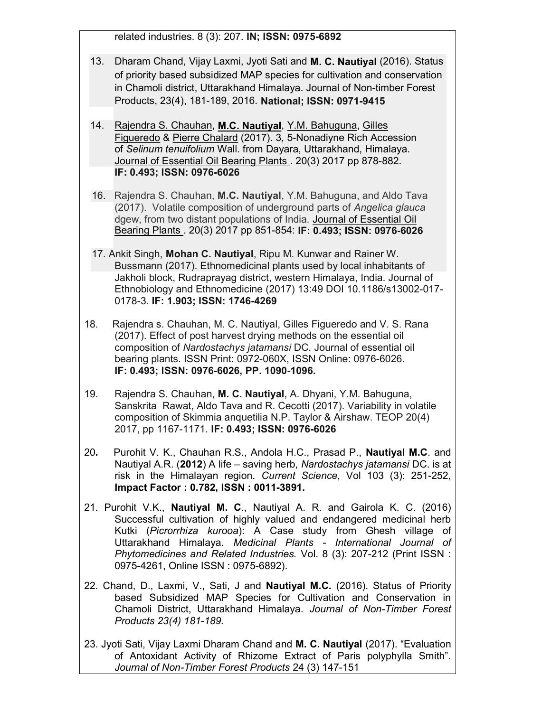related industries. 8 (3): 207. IN; ISSN: 0975-6892

- 13. Dharam Chand, Vijay Laxmi, Jyoti Sati and M. C. Nautiyal (2016). Status of priority based subsidized MAP species for cultivation and conservation in Chamoli district, Uttarakhand Himalaya. Journal of Non-timber Forest Products, 23(4), 181-189, 2016. National; ISSN: 0971-9415
- 14. Rajendra S. Chauhan, M.C. Nautiyal, Y.M. Bahuguna, Gilles Figueredo & Pierre Chalard (2017). 3, 5-Nonadiyne Rich Accession of Selinum tenuifolium Wall. from Dayara, Uttarakhand, Himalaya. Journal of Essential Oil Bearing Plants . 20(3) 2017 pp 878-882. IF: 0.493; ISSN: 0976-6026
- 16. Rajendra S. Chauhan, M.C. Nautiyal, Y.M. Bahuguna, and Aldo Tava (2017). Volatile composition of underground parts of Angelica glauca dgew, from two distant populations of India. Journal of Essential Oil Bearing Plants . 20(3) 2017 pp 851-854: IF: 0.493; ISSN: 0976-6026
- 17. Ankit Singh, Mohan C. Nautiyal, Ripu M. Kunwar and Rainer W. Bussmann (2017). Ethnomedicinal plants used by local inhabitants of Jakholi block, Rudraprayag district, western Himalaya, India. Journal of Ethnobiology and Ethnomedicine (2017) 13:49 DOI 10.1186/s13002-017- 0178-3. IF: 1.903; ISSN: 1746-4269
- 18. Rajendra s. Chauhan, M. C. Nautiyal, Gilles Figueredo and V. S. Rana (2017). Effect of post harvest drying methods on the essential oil composition of Nardostachys jatamansi DC. Journal of essential oil bearing plants. ISSN Print: 0972-060X, ISSN Online: 0976-6026. IF: 0.493; ISSN: 0976-6026, PP. 1090-1096.
- 19. Rajendra S. Chauhan, M. C. Nautiyal, A. Dhyani, Y.M. Bahuguna, Sanskrita Rawat, Aldo Tava and R. Cecotti (2017). Variability in volatile composition of Skimmia anquetilia N.P. Taylor & Airshaw. TEOP 20(4) 2017, pp 1167-1171. IF: 0.493; ISSN: 0976-6026
- 20. Purohit V. K., Chauhan R.S., Andola H.C., Prasad P., Nautiyal M.C. and Nautiyal A.R. (2012) A life – saving herb, Nardostachys jatamansi DC. is at risk in the Himalayan region. Current Science, Vol 103 (3): 251-252, Impact Factor : 0.782, ISSN : 0011-3891.
- 21. Purohit V.K., Nautiyal M. C., Nautiyal A. R. and Gairola K. C. (2016) Successful cultivation of highly valued and endangered medicinal herb Kutki (Picrorrhiza kurooa): A Case study from Ghesh village of Uttarakhand Himalaya. Medicinal Plants - International Journal of Phytomedicines and Related Industries. Vol. 8 (3): 207-212 (Print ISSN : 0975-4261, Online ISSN : 0975-6892).
- 22. Chand, D., Laxmi, V., Sati, J and Nautiyal M.C. (2016). Status of Priority based Subsidized MAP Species for Cultivation and Conservation in Chamoli District, Uttarakhand Himalaya. Journal of Non-Timber Forest Products 23(4) 181-189.
- 23. Jyoti Sati, Vijay Laxmi Dharam Chand and M. C. Nautiyal (2017). "Evaluation of Antoxidant Activity of Rhizome Extract of Paris polyphylla Smith". Journal of Non-Timber Forest Products 24 (3) 147-151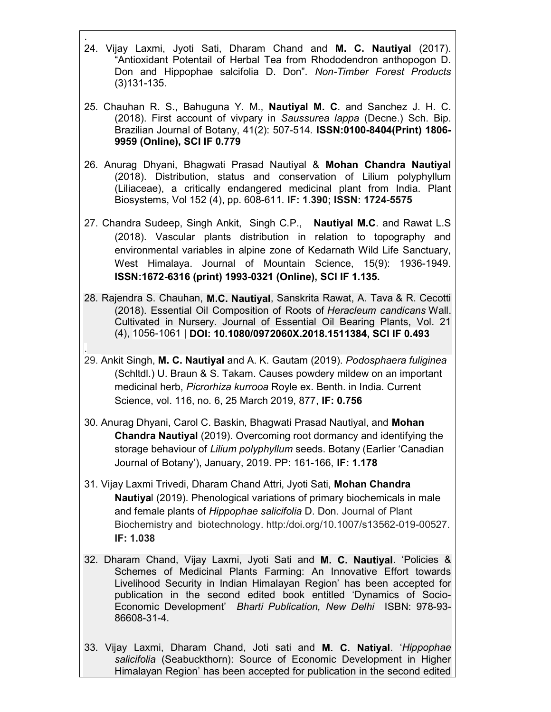- . 24. Vijay Laxmi, Jyoti Sati, Dharam Chand and M. C. Nautiyal (2017). "Antioxidant Potentail of Herbal Tea from Rhododendron anthopogon D. Don and Hippophae salcifolia D. Don". Non-Timber Forest Products (3)131-135.
- 25. Chauhan R. S., Bahuguna Y. M., Nautiyal M. C. and Sanchez J. H. C. (2018). First account of vivpary in Saussurea lappa (Decne.) Sch. Bip. Brazilian Journal of Botany, 41(2): 507-514. ISSN:0100-8404(Print) 1806- 9959 (Online), SCI IF 0.779
- 26. Anurag Dhyani, Bhagwati Prasad Nautiyal & Mohan Chandra Nautiyal (2018). Distribution, status and conservation of Lilium polyphyllum (Liliaceae), a critically endangered medicinal plant from India. Plant Biosystems, Vol 152 (4), pp. 608-611. IF: 1.390; ISSN: 1724-5575
- 27. Chandra Sudeep, Singh Ankit, Singh C.P., Nautival M.C. and Rawat L.S (2018). Vascular plants distribution in relation to topography and environmental variables in alpine zone of Kedarnath Wild Life Sanctuary, West Himalaya. Journal of Mountain Science, 15(9): 1936-1949. ISSN:1672-6316 (print) 1993-0321 (Online), SCI IF 1.135.
- 28. Rajendra S. Chauhan, M.C. Nautiyal, Sanskrita Rawat, A. Tava & R. Cecotti (2018). Essential Oil Composition of Roots of Heracleum candicans Wall. Cultivated in Nursery. Journal of Essential Oil Bearing Plants, Vol. 21 (4), 1056-1061 | DOI: 10.1080/0972060X.2018.1511384, SCI IF 0.493
- 29. Ankit Singh, M. C. Nautiyal and A. K. Gautam (2019). Podosphaera fuliginea (Schltdl.) U. Braun & S. Takam. Causes powdery mildew on an important medicinal herb, Picrorhiza kurrooa Royle ex. Benth. in India. Current Science, vol. 116, no. 6, 25 March 2019, 877, IF: 0.756

.

- 30. Anurag Dhyani, Carol C. Baskin, Bhagwati Prasad Nautiyal, and Mohan Chandra Nautiyal (2019). Overcoming root dormancy and identifying the storage behaviour of Lilium polyphyllum seeds. Botany (Earlier 'Canadian Journal of Botany'), January, 2019. PP: 161-166, IF: 1.178
- 31. Vijay Laxmi Trivedi, Dharam Chand Attri, Jyoti Sati, Mohan Chandra Nautiyal (2019). Phenological variations of primary biochemicals in male and female plants of *Hippophae salicifolia* D. Don. Journal of Plant Biochemistry and biotechnology. http:/doi.org/10.1007/s13562-019-00527. IF: 1.038
- 32. Dharam Chand, Vijay Laxmi, Jyoti Sati and M. C. Nautiyal. 'Policies & Schemes of Medicinal Plants Farming: An Innovative Effort towards Livelihood Security in Indian Himalayan Region' has been accepted for publication in the second edited book entitled 'Dynamics of Socio-Economic Development' Bharti Publication, New Delhi ISBN: 978-93- 86608-31-4.
- 33. Vijay Laxmi, Dharam Chand, Joti sati and **M. C. Natiyal**. 'Hippophae salicifolia (Seabuckthorn): Source of Economic Development in Higher Himalayan Region' has been accepted for publication in the second edited